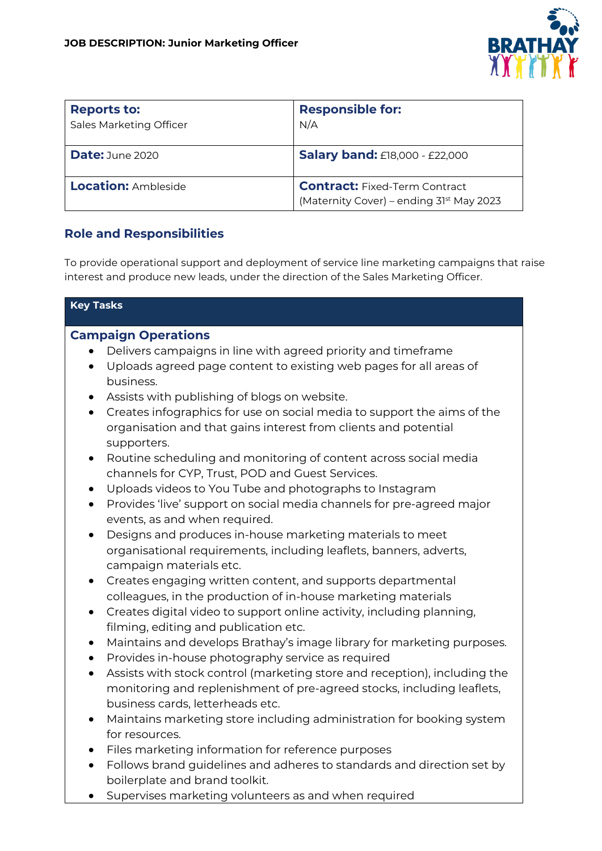

| <b>Reports to:</b><br>Sales Marketing Officer | <b>Responsible for:</b><br>N/A                                                               |
|-----------------------------------------------|----------------------------------------------------------------------------------------------|
| Date: June 2020                               | <b>Salary band: £18,000 - £22,000</b>                                                        |
| <b>Location: Ambleside</b>                    | <b>Contract:</b> Fixed-Term Contract<br>(Maternity Cover) - ending 31 <sup>st</sup> May 2023 |

# **Role and Responsibilities**

To provide operational support and deployment of service line marketing campaigns that raise interest and produce new leads, under the direction of the Sales Marketing Officer.

#### **Key Tasks**

#### **Campaign Operations**

- Delivers campaigns in line with agreed priority and timeframe
- Uploads agreed page content to existing web pages for all areas of business.
- Assists with publishing of blogs on website.
- Creates infographics for use on social media to support the aims of the organisation and that gains interest from clients and potential supporters.
- Routine scheduling and monitoring of content across social media channels for CYP, Trust, POD and Guest Services.
- Uploads videos to You Tube and photographs to Instagram
- Provides 'live' support on social media channels for pre-agreed major events, as and when required.
- Designs and produces in-house marketing materials to meet organisational requirements, including leaflets, banners, adverts, campaign materials etc.
- Creates engaging written content, and supports departmental colleagues, in the production of in-house marketing materials
- Creates digital video to support online activity, including planning, filming, editing and publication etc.
- Maintains and develops Brathay's image library for marketing purposes.
- Provides in-house photography service as required
- Assists with stock control (marketing store and reception), including the monitoring and replenishment of pre-agreed stocks, including leaflets, business cards, letterheads etc.
- Maintains marketing store including administration for booking system for resources.
- Files marketing information for reference purposes
- Follows brand guidelines and adheres to standards and direction set by boilerplate and brand toolkit.
- Supervises marketing volunteers as and when required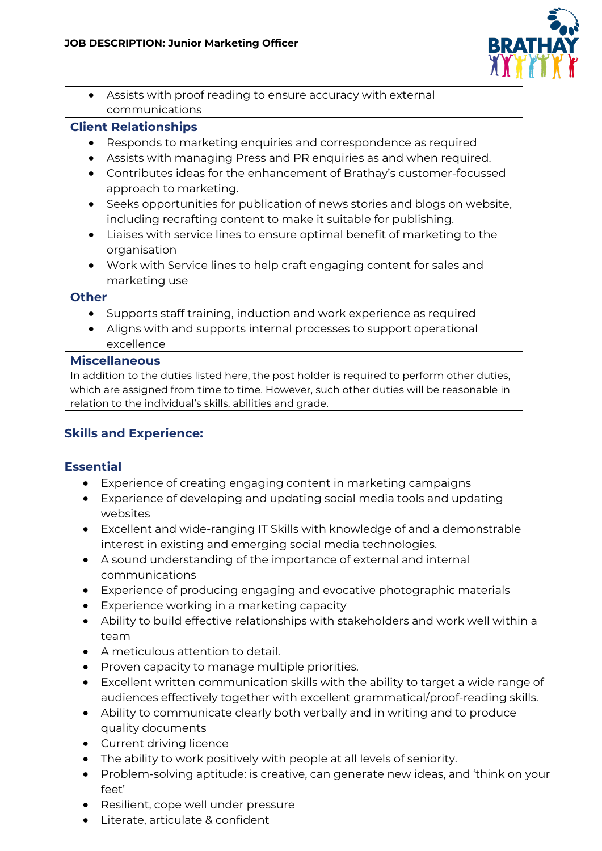

• Assists with proof reading to ensure accuracy with external communications

### **Client Relationships**

- Responds to marketing enquiries and correspondence as required
- Assists with managing Press and PR enquiries as and when required.
- Contributes ideas for the enhancement of Brathay's customer-focussed approach to marketing.
- Seeks opportunities for publication of news stories and blogs on website, including recrafting content to make it suitable for publishing.
- Liaises with service lines to ensure optimal benefit of marketing to the organisation
- Work with Service lines to help craft engaging content for sales and marketing use

#### **Other**

- Supports staff training, induction and work experience as required
- Aligns with and supports internal processes to support operational excellence

#### **Miscellaneous**

In addition to the duties listed here, the post holder is required to perform other duties, which are assigned from time to time. However, such other duties will be reasonable in relation to the individual's skills, abilities and grade.

# **Skills and Experience:**

## **Essential**

- Experience of creating engaging content in marketing campaigns
- Experience of developing and updating social media tools and updating websites
- Excellent and wide-ranging IT Skills with knowledge of and a demonstrable interest in existing and emerging social media technologies.
- A sound understanding of the importance of external and internal communications
- Experience of producing engaging and evocative photographic materials
- Experience working in a marketing capacity
- Ability to build effective relationships with stakeholders and work well within a team
- A meticulous attention to detail.
- Proven capacity to manage multiple priorities.
- Excellent written communication skills with the ability to target a wide range of audiences effectively together with excellent grammatical/proof-reading skills.
- Ability to communicate clearly both verbally and in writing and to produce quality documents
- Current driving licence
- The ability to work positively with people at all levels of seniority.
- Problem-solving aptitude: is creative, can generate new ideas, and 'think on your feet'
- Resilient, cope well under pressure
- Literate, articulate & confident